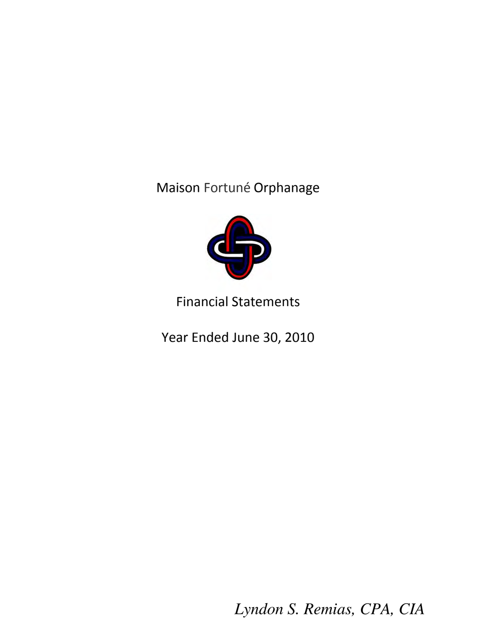Maison Fortuné Orphanage



# Financial Statements

Year Ended June 30, 2010

*Lyndon S. Remias, CPA, CIA*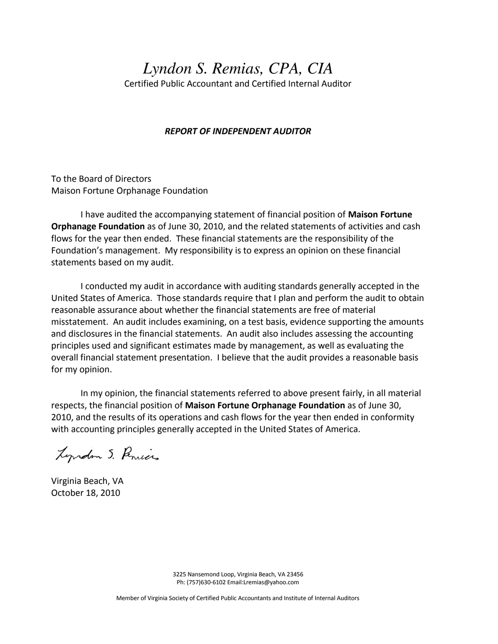# *Lyndon S. Remias, CPA, CIA*

Certified Public Accountant and Certified Internal Auditor

#### *REPORT OF INDEPENDENT AUDITOR*

To the Board of Directors Maison Fortune Orphanage Foundation

 I have audited the accompanying statement of financial position of **Maison Fortune Orphanage Foundation** as of June 30, 2010, and the related statements of activities and cash flows for the year then ended. These financial statements are the responsibility of the Foundation's management. My responsibility is to express an opinion on these financial statements based on my audit.

 I conducted my audit in accordance with auditing standards generally accepted in the United States of America. Those standards require that I plan and perform the audit to obtain reasonable assurance about whether the financial statements are free of material misstatement. An audit includes examining, on a test basis, evidence supporting the amounts and disclosures in the financial statements. An audit also includes assessing the accounting principles used and significant estimates made by management, as well as evaluating the overall financial statement presentation. I believe that the audit provides a reasonable basis for my opinion.

 In my opinion, the financial statements referred to above present fairly, in all material respects, the financial position of **Maison Fortune Orphanage Foundation** as of June 30, 2010, and the results of its operations and cash flows for the year then ended in conformity with accounting principles generally accepted in the United States of America.

Lyrdon S. Penices

Virginia Beach, VA October 18, 2010

3225 Nansemond Loop, Virginia Beach, VA 23456 Ph: (757)630-6102 Email:Lremias@yahoo.com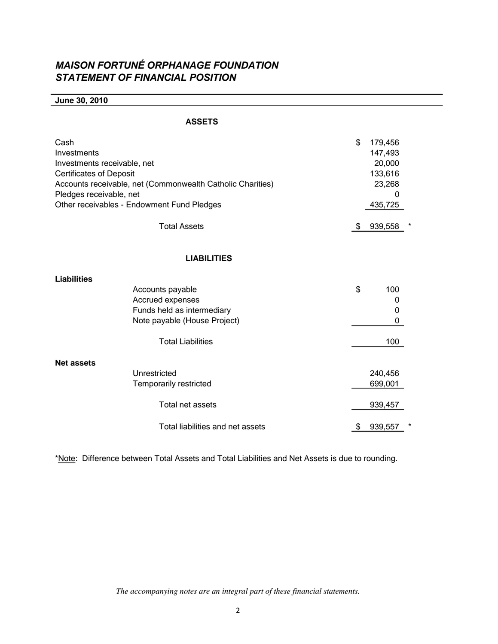# *MAISON FORTUNÉ ORPHANAGE FOUNDATION STATEMENT OF FINANCIAL POSITION*

**June 30, 2010**

| Cash<br>Investments<br>Investments receivable, net<br><b>Certificates of Deposit</b><br>Accounts receivable, net (Commonwealth Catholic Charities)<br>Pledges receivable, net<br>Other receivables - Endowment Fund Pledges |                                  |    | 179,456<br>147,493<br>20,000<br>133,616<br>23,268<br>435,725 |  |
|-----------------------------------------------------------------------------------------------------------------------------------------------------------------------------------------------------------------------------|----------------------------------|----|--------------------------------------------------------------|--|
|                                                                                                                                                                                                                             | <b>Total Assets</b>              | \$ | 939,558                                                      |  |
|                                                                                                                                                                                                                             | <b>LIABILITIES</b>               |    |                                                              |  |
| <b>Liabilities</b>                                                                                                                                                                                                          |                                  |    |                                                              |  |
|                                                                                                                                                                                                                             | Accounts payable                 | \$ | 100                                                          |  |
|                                                                                                                                                                                                                             | Accrued expenses                 |    | 0                                                            |  |
| Funds held as intermediary                                                                                                                                                                                                  |                                  |    | 0                                                            |  |
| Note payable (House Project)                                                                                                                                                                                                |                                  |    | 0                                                            |  |
|                                                                                                                                                                                                                             | <b>Total Liabilities</b>         |    | 100                                                          |  |
| <b>Net assets</b>                                                                                                                                                                                                           |                                  |    |                                                              |  |
|                                                                                                                                                                                                                             | Unrestricted                     |    | 240,456                                                      |  |
|                                                                                                                                                                                                                             | Temporarily restricted           |    | 699,001                                                      |  |
|                                                                                                                                                                                                                             | Total net assets                 |    | 939,457                                                      |  |
|                                                                                                                                                                                                                             | Total liabilities and net assets | \$ | 939,557                                                      |  |

\*Note: Difference between Total Assets and Total Liabilities and Net Assets is due to rounding.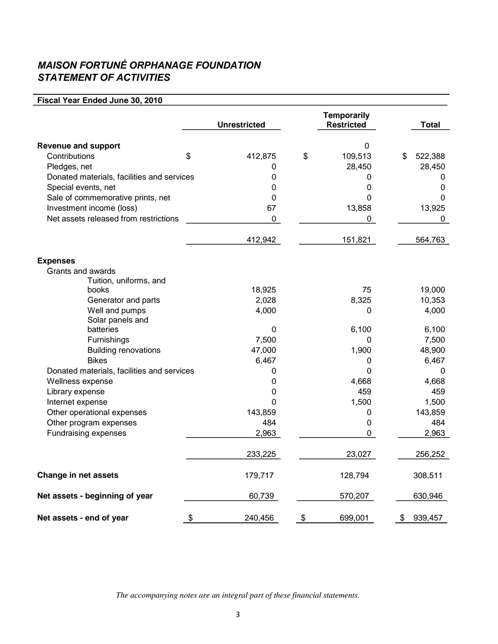# *MAISON FORTUNÉ ORPHANAGE FOUNDATION STATEMENT OF ACTIVITIES*

## **Fiscal Year Ended June 30, 2010**

|                                            | <b>Unrestricted</b> | <b>Temporarily</b><br><b>Restricted</b> | Total         |
|--------------------------------------------|---------------------|-----------------------------------------|---------------|
| <b>Revenue and support</b>                 |                     | 0                                       |               |
| Contributions                              | \$<br>412,875       | \$<br>109,513                           | \$<br>522,388 |
| Pledges, net                               | 0                   | 28,450                                  | 28,450        |
| Donated materials, facilities and services | $\boldsymbol{0}$    | 0                                       | 0             |
| Special events, net                        | 0                   | 0                                       | $\pmb{0}$     |
| Sale of commemorative prints, net          | 0                   | 0                                       | $\Omega$      |
| Investment income (loss)                   | 67                  | 13,858                                  | 13,925        |
| Net assets released from restrictions      | 0                   | 0                                       | $\Omega$      |
|                                            | 412,942             | 151,821                                 | 564,763       |
| <b>Expenses</b>                            |                     |                                         |               |
| Grants and awards                          |                     |                                         |               |
| Tuition, uniforms, and                     |                     |                                         |               |
| books                                      | 18,925              | 75                                      | 19,000        |
| Generator and parts                        | 2,028               | 8,325                                   | 10,353        |
| Well and pumps                             | 4,000               | 0                                       | 4,000         |
| Solar panels and                           |                     |                                         |               |
| batteries                                  | $\boldsymbol{0}$    | 6,100                                   | 6,100         |
| Furnishings                                | 7,500               | 0                                       | 7,500         |
| <b>Building renovations</b>                | 47,000              | 1,900                                   | 48,900        |
| <b>Bikes</b>                               | 6,467               | 0                                       | 6,467         |
| Donated materials, facilities and services | 0                   | 0                                       | 0             |
| Wellness expense                           | $\mathbf 0$         | 4,668                                   | 4,668         |
| Library expense                            | 0                   | 459                                     | 459           |
| Internet expense                           | 0                   | 1,500                                   | 1,500         |
| Other operational expenses                 | 143,859             | 0                                       | 143,859       |
| Other program expenses                     | 484                 | 0                                       | 484           |
| <b>Fundraising expenses</b>                | 2,963               | 0                                       | 2,963         |
|                                            | 233,225             | 23,027                                  | 256,252       |
| <b>Change in net assets</b>                | 179,717             | 128,794                                 | 308,511       |
| Net assets - beginning of year             | 60,739              | 570,207                                 | 630,946       |
| Net assets - end of year                   | \$<br>240,456       | \$<br>699,001                           | \$<br>939,457 |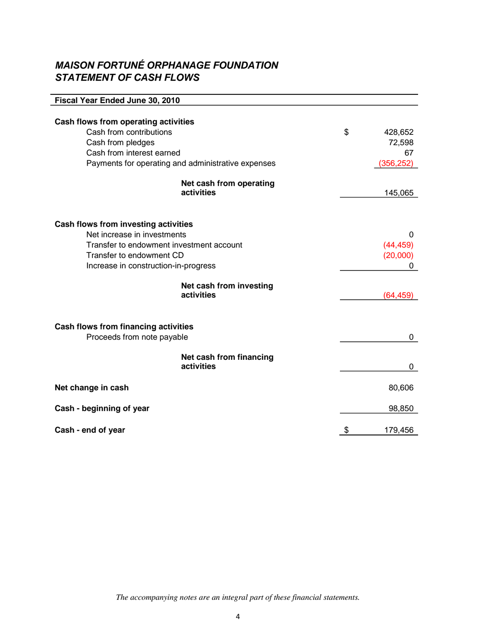## *MAISON FORTUNÉ ORPHANAGE FOUNDATION STATEMENT OF CASH FLOWS*

| Fiscal Year Ended June 30, 2010                                            |               |
|----------------------------------------------------------------------------|---------------|
|                                                                            |               |
| Cash flows from operating activities                                       |               |
| Cash from contributions                                                    | \$<br>428,652 |
| Cash from pledges                                                          | 72,598        |
| Cash from interest earned                                                  | 67            |
| Payments for operating and administrative expenses                         | (356, 252)    |
| Net cash from operating                                                    |               |
| activities                                                                 | 145,065       |
|                                                                            |               |
| <b>Cash flows from investing activities</b><br>Net increase in investments | 0             |
| Transfer to endowment investment account                                   | (44, 459)     |
| Transfer to endowment CD                                                   | (20,000)      |
| Increase in construction-in-progress                                       | 0             |
|                                                                            |               |
| Net cash from investing                                                    |               |
| activities                                                                 | (64, 459)     |
|                                                                            |               |
| <b>Cash flows from financing activities</b>                                |               |
| Proceeds from note payable                                                 | 0             |
| Net cash from financing                                                    |               |
| activities                                                                 | 0             |
| Net change in cash                                                         | 80,606        |
| Cash - beginning of year                                                   | 98,850        |
|                                                                            |               |
| Cash - end of year                                                         | \$<br>179,456 |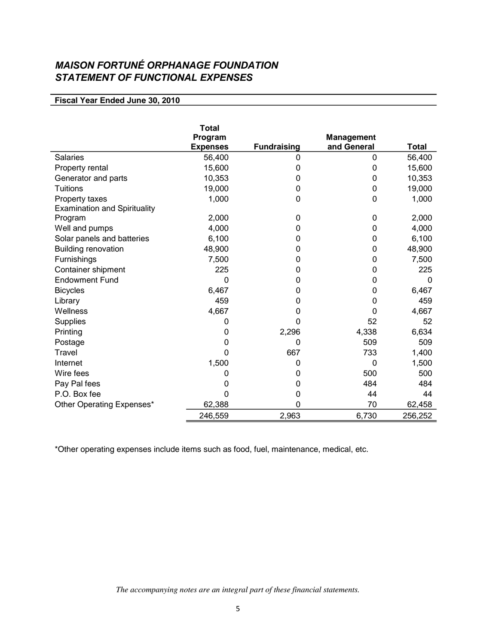# *MAISON FORTUNÉ ORPHANAGE FOUNDATION STATEMENT OF FUNCTIONAL EXPENSES*

| Fiscal Year Ended June 30, 2010 |  |  |
|---------------------------------|--|--|
|---------------------------------|--|--|

|                                     | <b>Total</b>    |                    |                   |              |
|-------------------------------------|-----------------|--------------------|-------------------|--------------|
|                                     | Program         |                    | <b>Management</b> |              |
|                                     | <b>Expenses</b> | <b>Fundraising</b> | and General       | <b>Total</b> |
| <b>Salaries</b>                     | 56,400          | 0                  | 0                 | 56,400       |
| Property rental                     | 15,600          | 0                  | 0                 | 15,600       |
| Generator and parts                 | 10,353          | 0                  | 0                 | 10,353       |
| <b>Tuitions</b>                     | 19,000          | 0                  | 0                 | 19,000       |
| Property taxes                      | 1,000           | 0                  | 0                 | 1,000        |
| <b>Examination and Spirituality</b> |                 |                    |                   |              |
| Program                             | 2,000           | 0                  | $\mathbf 0$       | 2,000        |
| Well and pumps                      | 4,000           | 0                  | 0                 | 4,000        |
| Solar panels and batteries          | 6,100           | 0                  | 0                 | 6,100        |
| <b>Building renovation</b>          | 48,900          | 0                  | 0                 | 48,900       |
| Furnishings                         | 7,500           | 0                  | 0                 | 7,500        |
| Container shipment                  | 225             | 0                  | 0                 | 225          |
| <b>Endowment Fund</b>               | 0               | 0                  | 0                 | 0            |
| <b>Bicycles</b>                     | 6,467           | 0                  | 0                 | 6,467        |
| Library                             | 459             | 0                  | 0                 | 459          |
| Wellness                            | 4,667           | 0                  | 0                 | 4,667        |
| <b>Supplies</b>                     | 0               | 0                  | 52                | 52           |
| Printing                            | 0               | 2,296              | 4,338             | 6,634        |
| Postage                             | 0               | 0                  | 509               | 509          |
| Travel                              | 0               | 667                | 733               | 1,400        |
| Internet                            | 1,500           | 0                  | 0                 | 1,500        |
| Wire fees                           | O               | O                  | 500               | 500          |
| Pay Pal fees                        | 0               | 0                  | 484               | 484          |
| P.O. Box fee                        | 0               | 0                  | 44                | 44           |
| Other Operating Expenses*           | 62,388          | 0                  | 70                | 62,458       |
|                                     | 246,559         | 2,963              | 6,730             | 256,252      |

\*Other operating expenses include items such as food, fuel, maintenance, medical, etc.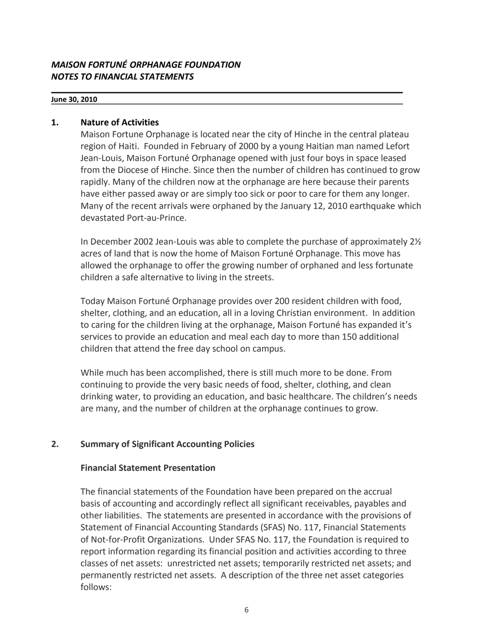## *MAISON FORTUNÉ ORPHANAGE FOUNDATION NOTES TO FINANCIAL STATEMENTS*

#### **June 30, 2010**

## **1. Nature of Activities**

Maison Fortune Orphanage is located near the city of Hinche in the central plateau region of Haiti. Founded in February of 2000 by a young Haitian man named Lefort Jean-Louis, Maison Fortuné Orphanage opened with just four boys in space leased from the Diocese of Hinche. Since then the number of children has continued to grow rapidly. Many of the children now at the orphanage are here because their parents have either passed away or are simply too sick or poor to care for them any longer. Many of the recent arrivals were orphaned by the January 12, 2010 earthquake which devastated Port-au-Prince.

In December 2002 Jean-Louis was able to complete the purchase of approximately 2½ acres of land that is now the home of Maison Fortuné Orphanage. This move has allowed the orphanage to offer the growing number of orphaned and less fortunate children a safe alternative to living in the streets.

Today Maison Fortuné Orphanage provides over 200 resident children with food, shelter, clothing, and an education, all in a loving Christian environment. In addition to caring for the children living at the orphanage, Maison Fortuné has expanded it's services to provide an education and meal each day to more than 150 additional children that attend the free day school on campus.

While much has been accomplished, there is still much more to be done. From continuing to provide the very basic needs of food, shelter, clothing, and clean drinking water, to providing an education, and basic healthcare. The children's needs are many, and the number of children at the orphanage continues to grow.

## **2. Summary of Significant Accounting Policies**

## **Financial Statement Presentation**

The financial statements of the Foundation have been prepared on the accrual basis of accounting and accordingly reflect all significant receivables, payables and other liabilities. The statements are presented in accordance with the provisions of Statement of Financial Accounting Standards (SFAS) No. 117, Financial Statements of Not-for-Profit Organizations. Under SFAS No. 117, the Foundation is required to report information regarding its financial position and activities according to three classes of net assets: unrestricted net assets; temporarily restricted net assets; and permanently restricted net assets. A description of the three net asset categories follows: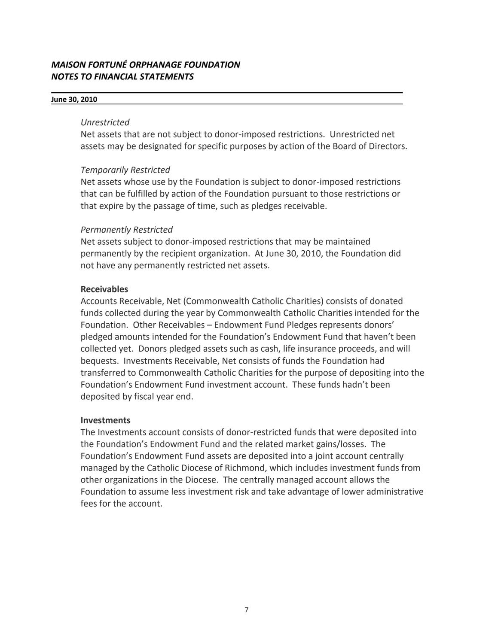## *MAISON FORTUNÉ ORPHANAGE FOUNDATION NOTES TO FINANCIAL STATEMENTS*

#### **June 30, 2010**

#### *Unrestricted*

Net assets that are not subject to donor-imposed restrictions. Unrestricted net assets may be designated for specific purposes by action of the Board of Directors.

## *Temporarily Restricted*

Net assets whose use by the Foundation is subject to donor-imposed restrictions that can be fulfilled by action of the Foundation pursuant to those restrictions or that expire by the passage of time, such as pledges receivable.

## *Permanently Restricted*

Net assets subject to donor-imposed restrictions that may be maintained permanently by the recipient organization. At June 30, 2010, the Foundation did not have any permanently restricted net assets.

## **Receivables**

Accounts Receivable, Net (Commonwealth Catholic Charities) consists of donated funds collected during the year by Commonwealth Catholic Charities intended for the Foundation. Other Receivables – Endowment Fund Pledges represents donors' pledged amounts intended for the Foundation's Endowment Fund that haven't been collected yet. Donors pledged assets such as cash, life insurance proceeds, and will bequests. Investments Receivable, Net consists of funds the Foundation had transferred to Commonwealth Catholic Charities for the purpose of depositing into the Foundation's Endowment Fund investment account. These funds hadn't been deposited by fiscal year end.

## **Investments**

The Investments account consists of donor-restricted funds that were deposited into the Foundation's Endowment Fund and the related market gains/losses. The Foundation's Endowment Fund assets are deposited into a joint account centrally managed by the Catholic Diocese of Richmond, which includes investment funds from other organizations in the Diocese. The centrally managed account allows the Foundation to assume less investment risk and take advantage of lower administrative fees for the account.